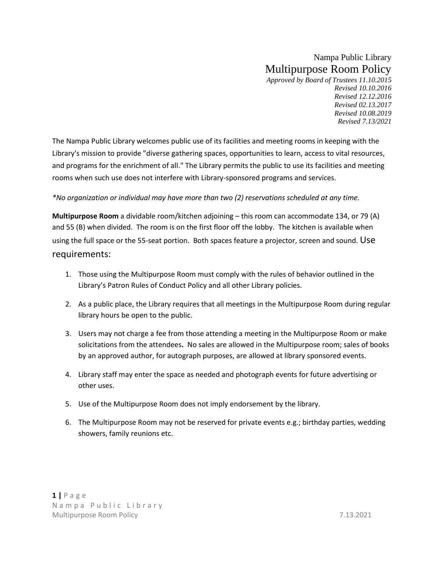# Nampa Public Library Multipurpose Room Policy

*Approved by Board of Trustees 11.10.2015 Revised 10.10.2016 Revised 12.12.2016 Revised 02.13.2017 Revised 10.08.2019 Revised 7.13/2021* 

The Nampa Public Library welcomes public use of its facilities and meeting rooms in keeping with the Library's mission to provide "diverse gathering spaces, opportunities to learn, access to vital resources, and programs for the enrichment of all." The Library permits the public to use its facilities and meeting rooms when such use does not interfere with Library-sponsored programs and services.

#### *\*No organization or individual may have more than two (2) reservations scheduled at any time.*

**Multipurpose Room** a dividable room/kitchen adjoining – this room can accommodate 134, or 79 (A) and 55 (B) when divided. The room is on the first floor off the lobby. The kitchen is available when using the full space or the 55-seat portion. Both spaces feature a projector, screen and sound. Use requirements:

- 1. Those using the Multipurpose Room must comply with the rules of behavior outlined in the Library's Patron Rules of Conduct Policy and all other Library policies.
- 2. As a public place, the Library requires that all meetings in the Multipurpose Room during regular library hours be open to the public.
- 3. Users may not charge a fee from those attending a meeting in the Multipurpose Room or make solicitations from the attendees**.** No sales are allowed in the Multipurpose room; sales of books by an approved author, for autograph purposes, are allowed at library sponsored events.
- 4. Library staff may enter the space as needed and photograph events for future advertising or other uses.
- 5. Use of the Multipurpose Room does not imply endorsement by the library.
- 6. The Multipurpose Room may not be reserved for private events e.g.; birthday parties, wedding showers, family reunions etc.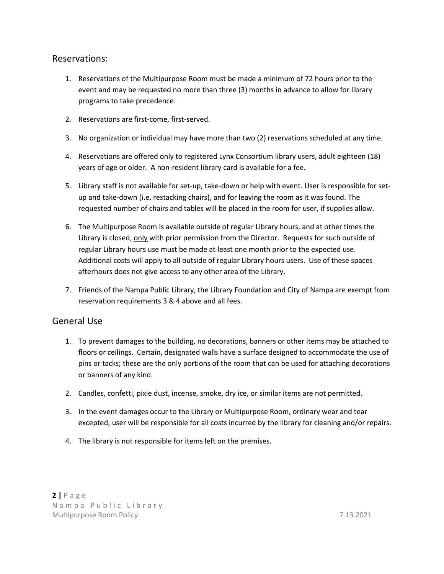## Reservations:

- 1. Reservations of the Multipurpose Room must be made a minimum of 72 hours prior to the event and may be requested no more than three (3) months in advance to allow for library programs to take precedence.
- 2. Reservations are first-come, first-served.
- 3. No organization or individual may have more than two (2) reservations scheduled at any time.
- 4. Reservations are offered only to registered Lynx Consortium library users, adult eighteen (18) years of age or older. A non-resident library card is available for a fee.
- 5. Library staff is not available for set-up, take-down or help with event. User is responsible for setup and take-down (i.e. restacking chairs), and for leaving the room as it was found. The requested number of chairs and tables will be placed in the room for user, if supplies allow.
- 6. The Multipurpose Room is available outside of regular Library hours, and at other times the Library is closed, only with prior permission from the Director. Requests for such outside of regular Library hours use must be made at least one month prior to the expected use. Additional costs will apply to all outside of regular Library hours users. Use of these spaces afterhours does not give access to any other area of the Library.
- 7. Friends of the Nampa Public Library, the Library Foundation and City of Nampa are exempt from reservation requirements 3 & 4 above and all fees.

# General Use

- 1. To prevent damages to the building, no decorations, banners or other items may be attached to floors or ceilings. Certain, designated walls have a surface designed to accommodate the use of pins or tacks; these are the only portions of the room that can be used for attaching decorations or banners of any kind.
- 2. Candles, confetti, pixie dust, incense, smoke, dry ice, or similar items are not permitted.
- 3. In the event damages occur to the Library or Multipurpose Room, ordinary wear and tear excepted, user will be responsible for all costs incurred by the library for cleaning and/or repairs.
- 4. The library is not responsible for items left on the premises.